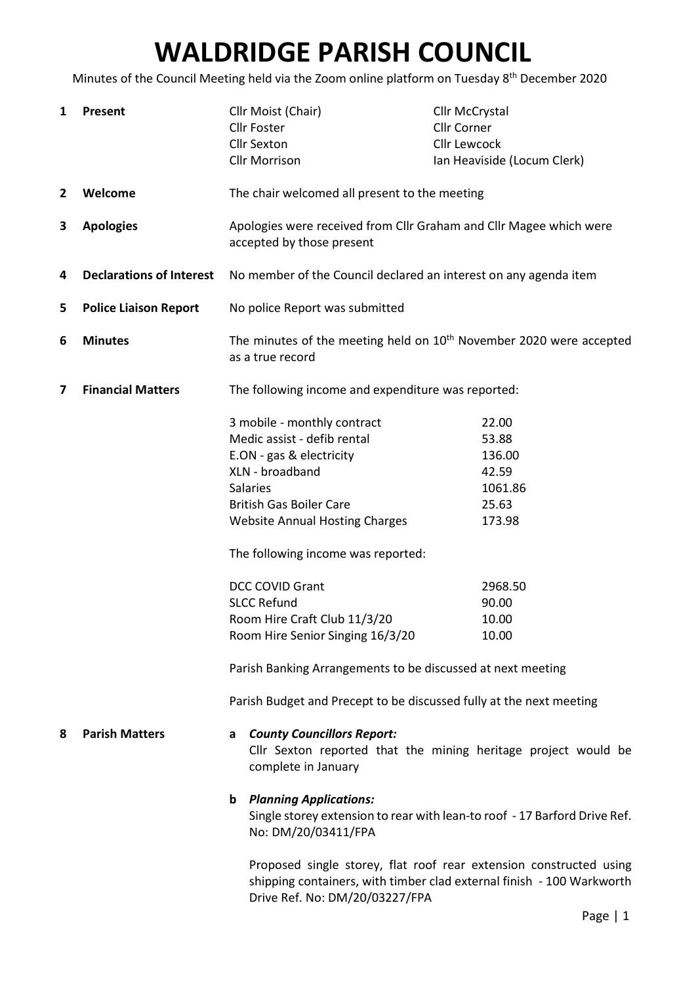## WALDRIDGE PARISH COUNCIL

Minutes of the Council Meeting held via the Zoom online platform on Tuesday 8th December 2020

| 1              | <b>Present</b>                  | Cllr Moist (Chair)<br><b>Cllr Foster</b><br><b>Cllr Sexton</b><br><b>Cllr Morrison</b>                                                                                                                                                                                                                                                                                                                                                                                                                  | <b>Cllr McCrystal</b><br><b>Cllr Corner</b><br><b>Cllr Lewcock</b><br>Ian Heaviside (Locum Clerk)     |
|----------------|---------------------------------|---------------------------------------------------------------------------------------------------------------------------------------------------------------------------------------------------------------------------------------------------------------------------------------------------------------------------------------------------------------------------------------------------------------------------------------------------------------------------------------------------------|-------------------------------------------------------------------------------------------------------|
| $\overline{2}$ | Welcome                         | The chair welcomed all present to the meeting                                                                                                                                                                                                                                                                                                                                                                                                                                                           |                                                                                                       |
| 3              | <b>Apologies</b>                | Apologies were received from Cllr Graham and Cllr Magee which were<br>accepted by those present                                                                                                                                                                                                                                                                                                                                                                                                         |                                                                                                       |
| 4              | <b>Declarations of Interest</b> | No member of the Council declared an interest on any agenda item                                                                                                                                                                                                                                                                                                                                                                                                                                        |                                                                                                       |
| 5              | <b>Police Liaison Report</b>    | No police Report was submitted                                                                                                                                                                                                                                                                                                                                                                                                                                                                          |                                                                                                       |
| 6              | <b>Minutes</b>                  | The minutes of the meeting held on 10 <sup>th</sup> November 2020 were accepted<br>as a true record                                                                                                                                                                                                                                                                                                                                                                                                     |                                                                                                       |
| 7              | <b>Financial Matters</b>        | The following income and expenditure was reported:                                                                                                                                                                                                                                                                                                                                                                                                                                                      |                                                                                                       |
|                |                                 | 3 mobile - monthly contract<br>Medic assist - defib rental<br>E.ON - gas & electricity<br>XLN - broadband<br><b>Salaries</b><br><b>British Gas Boiler Care</b><br><b>Website Annual Hosting Charges</b><br>The following income was reported:<br><b>DCC COVID Grant</b><br><b>SLCC Refund</b><br>Room Hire Craft Club 11/3/20<br>Room Hire Senior Singing 16/3/20<br>Parish Banking Arrangements to be discussed at next meeting<br>Parish Budget and Precept to be discussed fully at the next meeting | 22.00<br>53.88<br>136.00<br>42.59<br>1061.86<br>25.63<br>173.98<br>2968.50<br>90.00<br>10.00<br>10.00 |
| 8              | <b>Parish Matters</b>           | <b>County Councillors Report:</b><br>a<br>Cllr Sexton reported that the mining heritage project would be<br>complete in January<br><b>Planning Applications:</b><br>b<br>Single storey extension to rear with lean-to roof - 17 Barford Drive Ref.<br>No: DM/20/03411/FPA<br>Proposed single storey, flat roof rear extension constructed using<br>shipping containers, with timber clad external finish - 100 Warkworth<br>Drive Ref. No: DM/20/03227/FPA                                              |                                                                                                       |